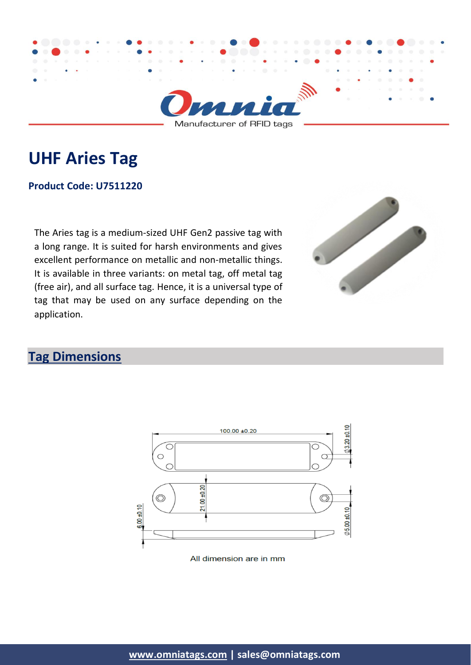

Manufacturer of RFID tags

# **UHF Aries Tag**

#### **Product Code: U7511220**

The Aries tag is a medium-sized UHF Gen2 passive tag with a long range. It is suited for harsh environments and gives excellent performance on metallic and non-metallic things. It is available in three variants: on metal tag, off metal tag (free air), and all surface tag. Hence, it is a universal type of tag that may be used on any surface depending on the application.



### **Tag Dimensions**



All dimension are in mm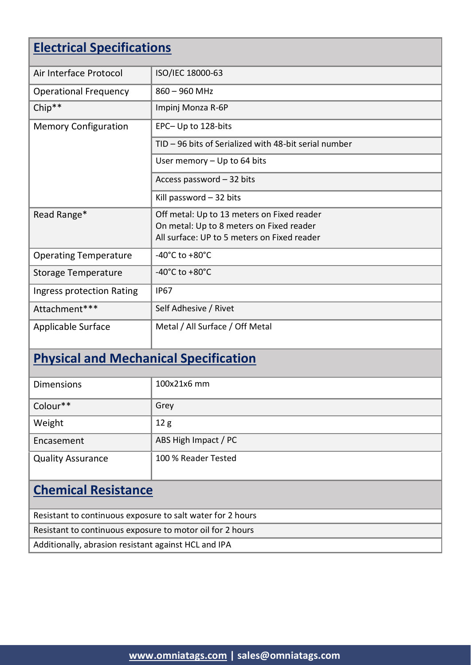### **Electrical Specifications**

| Air Interface Protocol       | ISO/IEC 18000-63                                      |
|------------------------------|-------------------------------------------------------|
| <b>Operational Frequency</b> | $860 - 960$ MHz                                       |
| $Chip**$                     | Impinj Monza R-6P                                     |
| <b>Memory Configuration</b>  | EPC-Up to 128-bits                                    |
|                              | TID - 96 bits of Serialized with 48-bit serial number |
|                              | User memory - Up to 64 bits                           |
|                              | Access password - 32 bits                             |
|                              | Kill password $-32$ bits                              |
| Read Range*                  | Off metal: Up to 13 meters on Fixed reader            |
|                              | On metal: Up to 8 meters on Fixed reader              |
|                              | All surface: UP to 5 meters on Fixed reader           |
| <b>Operating Temperature</b> | -40 $^{\circ}$ C to +80 $^{\circ}$ C                  |
| <b>Storage Temperature</b>   | -40 $^{\circ}$ C to +80 $^{\circ}$ C                  |
| Ingress protection Rating    | <b>IP67</b>                                           |
| Attachment***                | Self Adhesive / Rivet                                 |
| <b>Applicable Surface</b>    | Metal / All Surface / Off Metal                       |

## **Physical and Mechanical Specification**

| <b>Dimensions</b>          | 100x21x6 mm          |  |
|----------------------------|----------------------|--|
| Colour**                   | Grey                 |  |
| Weight                     | 12g                  |  |
| Encasement                 | ABS High Impact / PC |  |
| <b>Quality Assurance</b>   | 100 % Reader Tested  |  |
| <b>Chemical Resistance</b> |                      |  |

| Resistant to continuous exposure to salt water for 2 hours |
|------------------------------------------------------------|
| Resistant to continuous exposure to motor oil for 2 hours  |
| Additionally, abrasion resistant against HCL and IPA       |